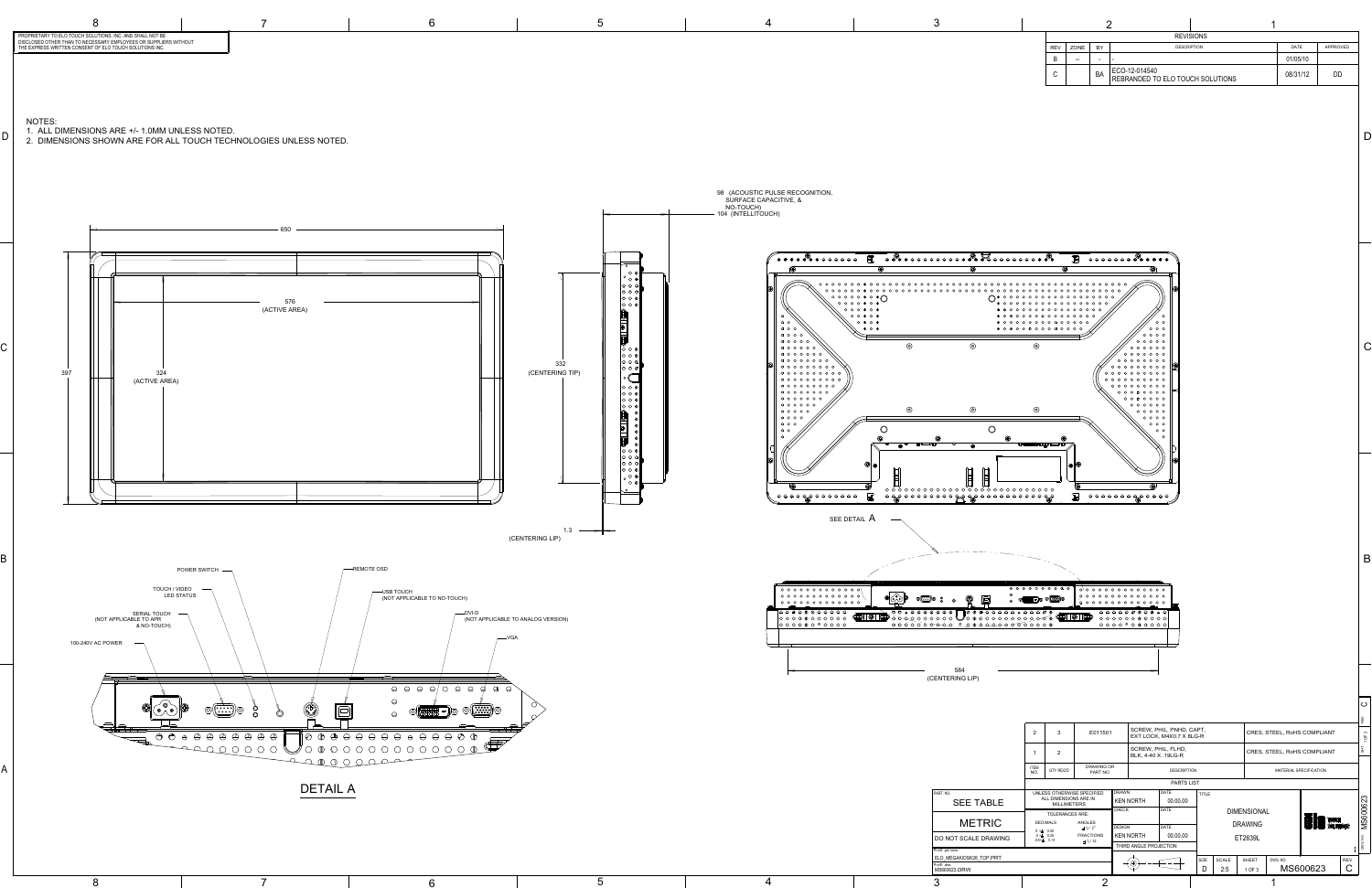B

ပ

8



C

D

|            | <b>REVISIONS</b> |           |                                                   |             |          |    |  |  |  |  |  |
|------------|------------------|-----------|---------------------------------------------------|-------------|----------|----|--|--|--|--|--|
| <b>REV</b> | <b>ZONE</b>      | BY        | <b>DESCRIPTION</b>                                | <b>DATE</b> | APPROVED |    |  |  |  |  |  |
| B          | --               | ۰         |                                                   |             | 01/05/10 |    |  |  |  |  |  |
| С          |                  | <b>BA</b> | ECO-12-014540<br>REBRANDED TO ELO TOUCH SOLUTIONS |             | 08/31/12 | DD |  |  |  |  |  |

|                                             |                                                                       |                               |                               |                                           |                                                      |                   |                             |              |                               |                             |                  |    | REV |  |
|---------------------------------------------|-----------------------------------------------------------------------|-------------------------------|-------------------------------|-------------------------------------------|------------------------------------------------------|-------------------|-----------------------------|--------------|-------------------------------|-----------------------------|------------------|----|-----|--|
|                                             | E011501<br>$\overline{2}$<br>3                                        |                               |                               |                                           | SCREW, PHIL, PNHD, CAPT,<br>EXT LOCK, M4X0.7 X 8LG-R |                   |                             |              |                               | CRES, STEEL, RoHS COMPLIANT |                  |    |     |  |
|                                             |                                                                       | $\overline{2}$                |                               | SCREW, PHIL, FLHD,<br>BLK, 4-40 X .19LG-R |                                                      |                   | CRES, STEEL, RoHS COMPLIANT |              |                               |                             |                  | ŦБ |     |  |
|                                             | <b>ITEM</b><br>NO.                                                    | QTY REQ'D                     | <b>DRAWING OR</b><br>PART NO. | <b>DESCRIPTION</b>                        |                                                      |                   |                             |              | <b>MATERIAL SPECIFICATION</b> |                             |                  |    |     |  |
|                                             |                                                                       |                               |                               |                                           |                                                      | <b>PARTS LIST</b> |                             |              |                               |                             |                  |    |     |  |
| ART. NO.                                    |                                                                       | UNLESS OTHERWISE SPECIFIED    |                               | <b>DRAWN</b><br><b>KEN NORTH</b>          |                                                      | <b>DATE</b>       | <b>TITLE</b>                |              |                               |                             |                  |    |     |  |
| <b>SEE TABLE</b>                            | ALL DIMENSIONS ARE IN<br><b>MILLIMETERS</b><br><b>TOLERANCES ARE:</b> |                               | 00.00.00                      |                                           |                                                      |                   |                             |              |                               | MS600623                    |                  |    |     |  |
|                                             |                                                                       |                               |                               | <b>CHECK</b>                              |                                                      |                   |                             | <b>DATE</b>  | <b>DIMENSIONAL</b>            |                             |                  |    |     |  |
| <b>METRIC</b>                               |                                                                       | <b>DECIMALS</b>               | <b>ANGLES</b>                 |                                           |                                                      |                   |                             |              |                               |                             | <b>BIO</b> TOUCH |    |     |  |
|                                             |                                                                       | $X = 0.50$                    | $\pm$ 1/2°                    | <b>DESIGN</b>                             |                                                      | <b>DATE</b>       |                             |              | <b>DRAWING</b>                |                             |                  |    |     |  |
| DO NOT SCALE DRAWING                        |                                                                       | $X = 0.25$<br>$XX = \pm 0.13$ | <b>FRACTIONS</b>              |                                           | <b>KEN NORTH</b>                                     | 00.00.00          |                             |              | ET2639L                       |                             |                  |    |     |  |
| $\pm$ 1/32                                  |                                                                       |                               |                               | THIRD ANGLE PROJECTION                    |                                                      |                   |                             |              |                               | DWG. NO.                    |                  |    |     |  |
| Pro/E .prt/.asm:<br>ELO_MEGAKIOSK26_TOP.PRT |                                                                       |                               |                               |                                           |                                                      |                   |                             |              |                               |                             |                  |    |     |  |
| :o/E .drw                                   |                                                                       |                               |                               |                                           |                                                      |                   | SIZE                        | <b>SCALE</b> | <b>SHEET</b>                  | DWG. NO.                    | <b>REV</b>       |    |     |  |
| MS600623.DRW                                |                                                                       |                               |                               |                                           |                                                      | D<br>2:5          |                             | 1 OF 3       | MS600623                      |                             | C                |    |     |  |
|                                             |                                                                       |                               |                               |                                           |                                                      |                   |                             |              |                               |                             |                  |    |     |  |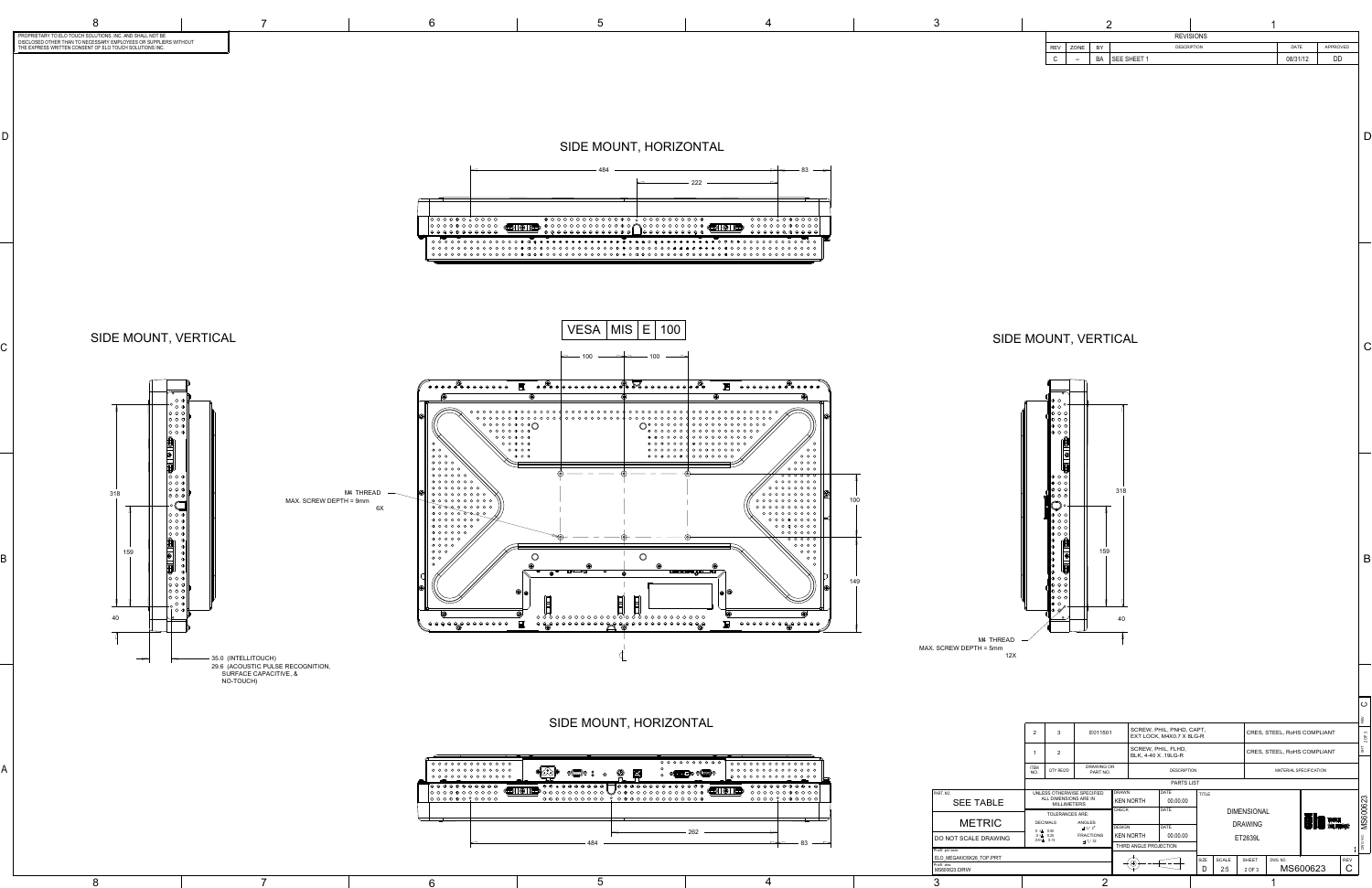B

ပ

A

8

B

7 6 5

C

D.

C

D

M4 THREAD MAX. SCREW DEPTH = 5mm 12X



| ⊖ ⊖ ⊕ ⊖ <b>⊕</b> ⊕ ⊖ ⊖ ⊖ ⊖<br>$\overline{\text{O}}$ (c)<br>$\bigoplus$<br>$ \circledast $<br>$\bigoplus$<br>0 0 0 0 0 0 0 0 0 0 0<br>$^{\circ}$ 0 0 0 0 0 0 0 0 0 $^{\circ}$<br>$\sqrt[3]{\text{O} \cdot \text{O} \cdot \text{O} \cdot \text{O} \cdot \text{O} \cdot \text{O} \cdot \text{O} \cdot \text{O} \cdot \text{O} \cdot \text{O} \cdot \text{O} \cdot \text{O} \cdot \text{O} \cdot \text{O} \cdot \text{O} \cdot \text{O} \cdot \text{O} \cdot \text{O} \cdot \text{O} \cdot \text{O} \cdot \text{O} \cdot \text{O} \cdot \text{O} \cdot \text{O} \cdot \text{O} \cdot \text{O} \cdot \text{O} \cdot \text{O} \cdot \text{O} \cdot \text{O} \cdot \text{O}$<br>  0 0 0 0 <b>0</b> 0 <sup>0</sup> 0 0 0 0 0<br>262 | ⊖<br>@( <u>{:::})</u> @<br>$\boxminus$<br>0( <b>http:-)</b> 0 0 ([…])0<br>$\circledcirc$<br>⊚<br>♤<br>${\color{red}\texttt{0}}{\color{red}\texttt{0}}{\color{red}\texttt{0}}{\color{red}\texttt{0}}{\color{red}\texttt{0}}{\color{red}\texttt{0}}{\color{red}\texttt{0}}{\color{red}\texttt{0}}{\color{red}\texttt{0}}{\color{red}\texttt{0}}{\color{red}\texttt{0}}{\color{red}\texttt{0}}{\color{red}\texttt{0}}{\color{red}\texttt{0}}{\color{red}\texttt{0}}{\color{red}\texttt{0}}$ |  |
|-----------------------------------------------------------------------------------------------------------------------------------------------------------------------------------------------------------------------------------------------------------------------------------------------------------------------------------------------------------------------------------------------------------------------------------------------------------------------------------------------------------------------------------------------------------------------------------------------------------------------------------------------------------------------------------------------------------------------------|------------------------------------------------------------------------------------------------------------------------------------------------------------------------------------------------------------------------------------------------------------------------------------------------------------------------------------------------------------------------------------------------------------------------------------------------------------------------------------------|--|
|                                                                                                                                                                                                                                                                                                                                                                                                                                                                                                                                                                                                                                                                                                                             | $\Theta \Theta \Theta \Theta \Theta \Phi \Phi \Phi \Theta \Theta \Theta$                                                                                                                                                                                                                                                                                                                                                                                                                 |  |
|                                                                                                                                                                                                                                                                                                                                                                                                                                                                                                                                                                                                                                                                                                                             |                                                                                                                                                                                                                                                                                                                                                                                                                                                                                          |  |
| 484<br>═                                                                                                                                                                                                                                                                                                                                                                                                                                                                                                                                                                                                                                                                                                                    | 83                                                                                                                                                                                                                                                                                                                                                                                                                                                                                       |  |



| LUTIONS, INC. AND SHALL NOT BE<br>ESSARY EMPLOYEES OR SUPPLIERS WITHOUT<br>' OF ELO TOUCH SOLUTIONS INC. |  |  | <b>REVISIONS</b> |                       |
|----------------------------------------------------------------------------------------------------------|--|--|------------------|-----------------------|
|                                                                                                          |  |  |                  | APPROVED<br>DATE      |
|                                                                                                          |  |  | <b>SHF</b>       | 08/31/12<br>nn.<br>◡◡ |

|                                                                   |                               | 2                  | 3                                           | E011501                         |              |                        | SCREW, PHIL, PNHD, CAPT,                  |              |       |                    |          | CRES, STEEL, RoHS COMPLIANT   |             |                 |
|-------------------------------------------------------------------|-------------------------------|--------------------|---------------------------------------------|---------------------------------|--------------|------------------------|-------------------------------------------|--------------|-------|--------------------|----------|-------------------------------|-------------|-----------------|
|                                                                   |                               |                    |                                             |                                 |              |                        | EXT LOCK, M4X0.7 X 8LG-R                  |              |       |                    |          |                               |             |                 |
|                                                                   |                               |                    | $\overline{2}$                              |                                 |              |                        | SCREW, PHIL, FLHD,<br>BLK, 4-40 X .19LG-R |              |       |                    |          | CRES, STEEL, RoHS COMPLIANT   |             |                 |
| $0 0 0 0 0 0 0 0 0$<br>$0 0 0 0 0 0 0 0 0$<br>$0 0 0 0 0 0 0 0 0$ |                               | <b>ITEM</b><br>NO. | QTY REQ'D                                   | <b>DRAWING OR</b><br>PART NO.   |              |                        | <b>DESCRIPTION</b>                        |              |       |                    |          | <b>MATERIAL SPECIFICATION</b> |             |                 |
| ر ک<br>$\Theta \Theta \Theta \Phi \Phi \Theta \Theta \Theta$      |                               |                    |                                             |                                 |              |                        | PARTS LIST                                |              |       |                    |          |                               |             |                 |
| $\circ \circ \circ \circ \circ \circ \circ \circ$                 | PART. NO.<br><b>SEE TABLE</b> |                    | ALL DIMENSIONS ARE IN<br><b>MILLIMETERS</b> | UNLESS OTHERWISE SPECIFIED      | <b>DRAWN</b> | <b>KEN NORTH</b>       | DATE<br>00.00.00                          | <b>TITLE</b> |       |                    |          |                               |             |                 |
|                                                                   |                               |                    | <b>TOLERANCES ARE:</b>                      |                                 | CHECK        |                        | DATE                                      |              |       | <b>DIMENSIONAL</b> |          |                               |             | <b>MS600623</b> |
|                                                                   | <b>METRIC</b>                 |                    | <b>DECIMALS</b>                             | ANGLES<br>$\pm$ 1/ 2 $^{\circ}$ | DESIGN       |                        | DATE                                      |              |       | <b>DRAWING</b>     |          | <b>EIO</b> TOUCH              |             |                 |
| $\Rightarrow$                                                     | DO NOT SCALE DRAWING          |                    | $X = 0.50$<br>$X = 0.25$<br>$XX = \pm 0.13$ | <b>FRACTIONS</b><br>$\pm$ 1/32  |              | <b>KEN NORTH</b>       | 00.00.00                                  |              |       | ET2639L            |          |                               |             |                 |
| 83                                                                | Pro/E .prt/.asm:              |                    |                                             |                                 |              | THIRD ANGLE PROJECTION |                                           |              |       |                    |          |                               |             | DWG. NO.        |
|                                                                   | ELO MEGAKIOSK26 TOP.PRT       |                    |                                             |                                 |              |                        |                                           | SIZE         | SCALE | SHEET              | DWG. NO. |                               | <b>REV</b>  |                 |
|                                                                   | Pro/E .drw:<br>MS600623.DRW   |                    |                                             |                                 |              |                        |                                           | D            | 2:5   | 2 OF 3             |          | MS600623                      | $\mathsf C$ |                 |
| 4                                                                 | 3                             |                    |                                             | Ω                               |              |                        |                                           |              |       |                    |          |                               |             |                 |



| PROPRIETARY TO ELO TOUCH SOLUTIONS. INC. AND SHALL NOT BE        |  |
|------------------------------------------------------------------|--|
| DISCLOSED OTHER THAN TO NECESSARY EMPLOYEES OR SUPPLIERS WITHOUT |  |
| THE EXPRESS WRITTEN CONSENT OF ELO TOUCH SOLUTIONS INC.          |  |



SIDE MOUNT, HORIZONTAL

SIDE MOUNT, HORIZONTAL